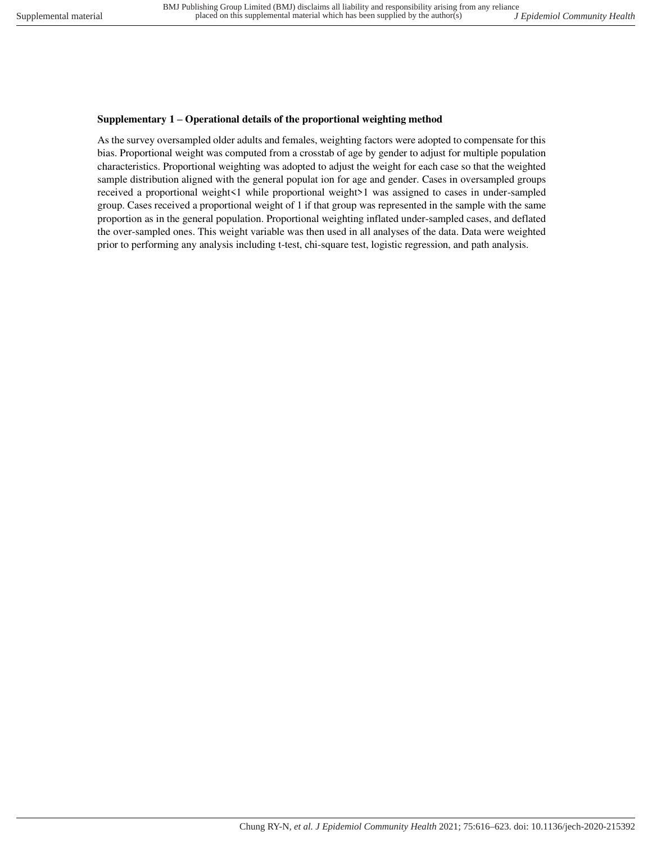## **Supplementary 1 – Operational details of the proportional weighting method**

As the survey oversampled older adults and females, weighting factors were adopted to compensate for this bias. Proportional weight was computed from a crosstab of age by gender to adjust for multiple population characteristics. Proportional weighting was adopted to adjust the weight for each case so that the weighted sample distribution aligned with the general populat ion for age and gender. Cases in oversampled groups received a proportional weight<1 while proportional weight>1 was assigned to cases in under-sampled group. Cases received a proportional weight of 1 if that group was represented in the sample with the same proportion as in the general population. Proportional weighting inflated under-sampled cases, and deflated the over-sampled ones. This weight variable was then used in all analyses of the data. Data were weighted prior to performing any analysis including t-test, chi-square test, logistic regression, and path analysis.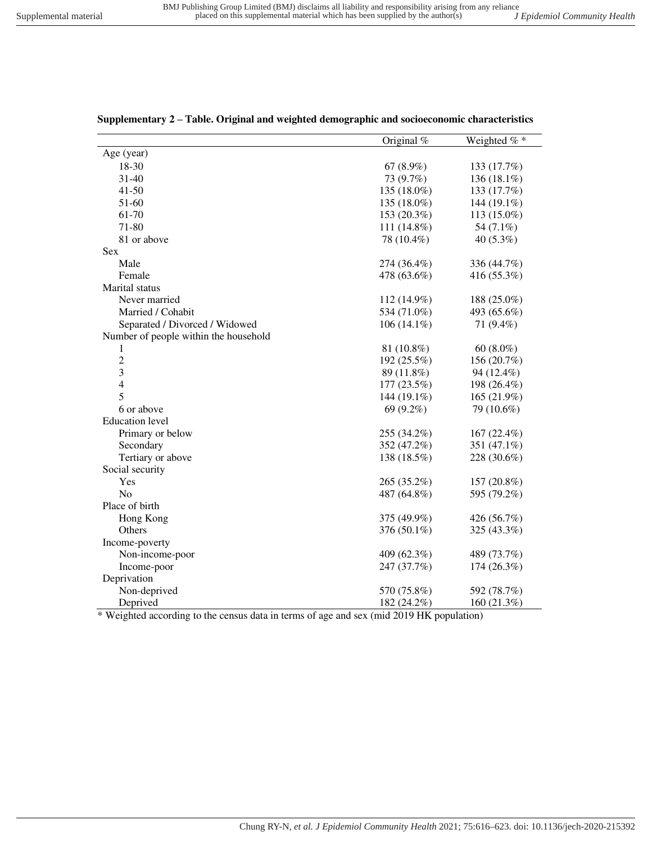|                                       | Original $%$  | Weighted $%$ * |
|---------------------------------------|---------------|----------------|
| Age (year)                            |               |                |
| 18-30                                 | 67 $(8.9\%)$  | 133 (17.7%)    |
| 31-40                                 | 73 (9.7%)     | 136 (18.1%)    |
| $41 - 50$                             | 135 (18.0%)   | 133 (17.7%)    |
| 51-60                                 | 135 (18.0%)   | 144 (19.1%)    |
| 61-70                                 | 153 (20.3%)   | 113 (15.0%)    |
| 71-80                                 | $111(14.8\%)$ | 54 (7.1%)      |
| 81 or above                           | 78 (10.4%)    | $40(5.3\%)$    |
| Sex                                   |               |                |
| Male                                  | 274 (36.4%)   | 336 (44.7%)    |
| Female                                | 478 (63.6%)   | 416 (55.3%)    |
| Marital status                        |               |                |
| Never married                         | 112 (14.9%)   | 188 (25.0%)    |
| Married / Cohabit                     | 534 (71.0%)   | 493 (65.6%)    |
| Separated / Divorced / Widowed        | $106(14.1\%)$ | 71 (9.4%)      |
| Number of people within the household |               |                |
| 1                                     | 81 (10.8%)    | $60(8.0\%)$    |
| $\overline{c}$                        | 192 (25.5%)   | 156 (20.7%)    |
| 3                                     | 89 (11.8%)    | 94 (12.4%)     |
| $\overline{\mathcal{L}}$              | 177 (23.5%)   | 198 (26.4%)    |
| 5                                     | 144 (19.1%)   | 165 (21.9%)    |
| 6 or above                            | 69 (9.2%)     | 79 (10.6%)     |
| <b>Education</b> level                |               |                |
| Primary or below                      | 255 (34.2%)   | 167 (22.4%)    |
| Secondary                             | 352 (47.2%)   | 351 (47.1%)    |
| Tertiary or above                     | 138 (18.5%)   | 228 (30.6%)    |
| Social security                       |               |                |
| Yes                                   | 265 (35.2%)   | 157 (20.8%)    |
| N <sub>o</sub>                        | 487 (64.8%)   | 595 (79.2%)    |
| Place of birth                        |               |                |
| Hong Kong                             | 375 (49.9%)   | 426 (56.7%)    |
| Others                                | 376 (50.1%)   | 325 (43.3%)    |
| Income-poverty                        |               |                |
| Non-income-poor                       | 409 (62.3%)   | 489 (73.7%)    |
| Income-poor                           | 247 (37.7%)   | 174 (26.3%)    |
| Deprivation                           |               |                |
| Non-deprived                          | 570 (75.8%)   | 592 (78.7%)    |
| Deprived                              | 182 (24.2%)   | 160 (21.3%)    |

|  |  | Supplementary 2 - Table. Original and weighted demographic and socioeconomic characteristics |  |
|--|--|----------------------------------------------------------------------------------------------|--|
|  |  |                                                                                              |  |

\* Weighted according to the census data in terms of age and sex (mid 2019 HK population)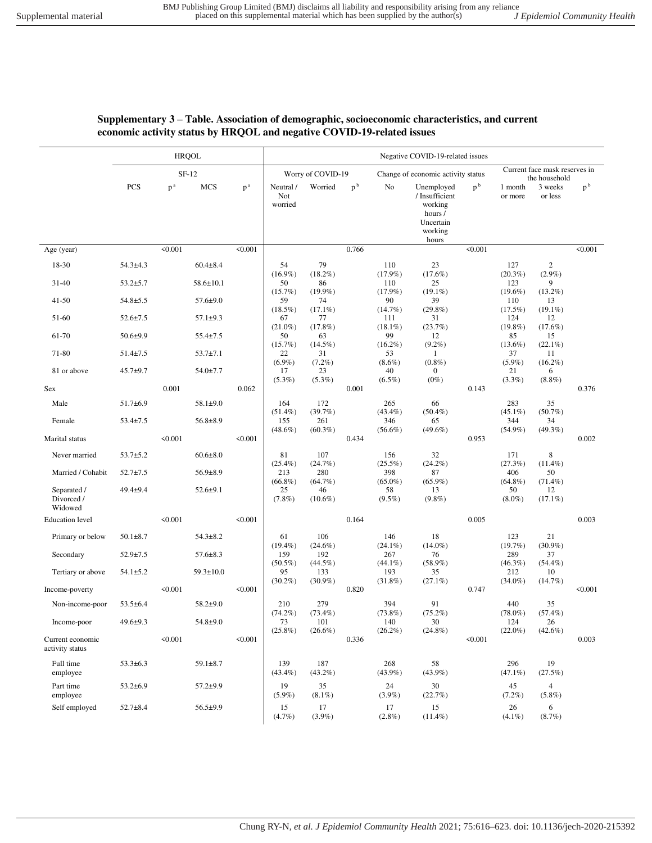## **Supplementary 3 – Table. Association of demographic, socioeconomic characteristics, and current economic activity status by HRQOL and negative COVID-19-related issues**

|                                      | <b>HRQOL</b>   |         |                 |                   | Negative COVID-19-related issues |                                    |                |                                 |                                                                                     |                |                                 |                                |                |
|--------------------------------------|----------------|---------|-----------------|-------------------|----------------------------------|------------------------------------|----------------|---------------------------------|-------------------------------------------------------------------------------------|----------------|---------------------------------|--------------------------------|----------------|
|                                      | $SF-12$        |         |                 | Worry of COVID-19 |                                  | Change of economic activity status |                |                                 | Current face mask reserves in<br>the household                                      |                |                                 |                                |                |
|                                      | PCS            | $p^a$   | MCS             | $p^a$             | Neutral /<br>Not<br>worried      | Worried                            | p <sup>b</sup> | No                              | Unemployed<br>/ Insufficient<br>working<br>hours /<br>Uncertain<br>working<br>hours | p <sup>b</sup> | 1 month<br>or more              | 3 weeks<br>or less             | p <sup>b</sup> |
| Age (year)                           |                | < 0.001 |                 | < 0.001           |                                  |                                    | 0.766          |                                 |                                                                                     | < 0.001        |                                 |                                | < 0.001        |
| 18-30                                | $54.3 \pm 4.3$ |         | $60.4 \pm 8.4$  |                   | 54                               | 79                                 |                | 110                             | 23                                                                                  |                | 127                             | 2                              |                |
| 31-40                                | $53.2 \pm 5.7$ |         | $58.6 \pm 10.1$ |                   | $(16.9\%)$<br>50                 | $(18.2\%)$<br>86                   |                | $(17.9\%)$<br>110               | $(17.6\%)$<br>25                                                                    |                | $(20.3\%)$<br>123               | $(2.9\%)$<br>9                 |                |
| $41 - 50$                            | $54.8 \pm 5.5$ |         | $57.6 \pm 9.0$  |                   | $(15.7\%)$<br>59<br>$(18.5\%)$   | $(19.9\%)$<br>74<br>$(17.1\%)$     |                | $(17.9\%)$<br>90<br>$(14.7\%)$  | $(19.1\%)$<br>39<br>$(29.8\%)$                                                      |                | $(19.6\%)$<br>110<br>(17.5%)    | $(13.2\%)$<br>13<br>$(19.1\%)$ |                |
| 51-60                                | $52.6 \pm 7.5$ |         | $57.1 \pm 9.3$  |                   | 67                               | 77                                 |                | 111                             | 31                                                                                  |                | 124                             | 12                             |                |
| 61-70                                | $50.6 + 9.9$   |         | $55.4 \pm 7.5$  |                   | $(21.0\%)$<br>50                 | $(17.8\%)$<br>63                   |                | $(18.1\%)$<br>99                | (23.7%)<br>12                                                                       |                | $(19.8\%)$<br>85                | $(17.6\%)$<br>15               |                |
| 71-80                                | $51.4 \pm 7.5$ |         | $53.7 \pm 7.1$  |                   | (15.7%)<br>22                    | $(14.5\%)$<br>31                   |                | $(16.2\%)$<br>53                | $(9.2\%)$<br>$\mathbf{1}$                                                           |                | $(13.6\%)$<br>37                | $(22.1\%)$<br>11               |                |
| 81 or above                          | $45.7 + 9.7$   |         | $54.0 \pm 7.7$  |                   | $(6.9\%)$<br>17                  | $(7.2\%)$<br>23                    |                | $(8.6\%)$<br>40                 | $(0.8\%)$<br>$\bf{0}$                                                               |                | $(5.9\%)$<br>21                 | $(16.2\%)$<br>6                |                |
| <b>Sex</b>                           |                | 0.001   |                 | 0.062             | $(5.3\%)$                        | $(5.3\%)$                          | 0.001          | $(6.5\%)$                       | $(0\%)$                                                                             | 0.143          | $(3.3\%)$                       | $(8.8\%)$                      | 0.376          |
| Male                                 | $51.7 \pm 6.9$ |         | 58.1±9.0        |                   | 164                              | 172                                |                | 265                             | 66                                                                                  |                | 283                             | 35                             |                |
| Female                               | $53.4 \pm 7.5$ |         | $56.8 \pm 8.9$  |                   | $(51.4\%)$<br>155<br>$(48.6\%)$  | (39.7%)<br>261<br>$(60.3\%)$       |                | $(43.4\%)$<br>346<br>$(56.6\%)$ | $(50.4\%)$<br>65<br>$(49.6\%)$                                                      |                | $(45.1\%)$<br>344<br>$(54.9\%)$ | $(50.7\%)$<br>34<br>$(49.3\%)$ |                |
| Marital status                       |                | < 0.001 |                 | < 0.001           |                                  |                                    | 0.434          |                                 |                                                                                     | 0.953          |                                 |                                | 0.002          |
| Never married                        | $53.7 + 5.2$   |         | $60.6 \pm 8.0$  |                   | 81<br>$(25.4\%)$                 | 107<br>(24.7%)                     |                | 156<br>$(25.5\%)$               | 32<br>$(24.2\%)$                                                                    |                | 171<br>(27.3%)                  | 8<br>$(11.4\%)$                |                |
| Married / Cohabit                    | $52.7 \pm 7.5$ |         | $56.9 \pm 8.9$  |                   | 213<br>$(66.8\%)$                | 280<br>$(64.7\%)$                  |                | 398<br>$(65.0\%)$               | 87<br>$(65.9\%)$                                                                    |                | 406<br>$(64.8\%)$               | 50<br>$(71.4\%)$               |                |
| Separated /<br>Divorced /<br>Widowed | 49.4±9.4       |         | $52.6 + 9.1$    |                   | 25<br>$(7.8\%)$                  | 46<br>$(10.6\%)$                   |                | 58<br>$(9.5\%)$                 | 13<br>$(9.8\%)$                                                                     |                | 50<br>$(8.0\%)$                 | 12<br>$(17.1\%)$               |                |
| <b>Education</b> level               |                | < 0.001 |                 | < 0.001           |                                  |                                    | 0.164          |                                 |                                                                                     | 0.005          |                                 |                                | 0.003          |
| Primary or below                     | $50.1 \pm 8.7$ |         | $54.3 \pm 8.2$  |                   | 61<br>$(19.4\%)$                 | 106<br>$(24.6\%)$                  |                | 146<br>$(24.1\%)$               | 18<br>$(14.0\%)$                                                                    |                | 123<br>(19.7%)                  | 21<br>$(30.9\%)$               |                |
| Secondary                            | $52.9 \pm 7.5$ |         | $57.6 \pm 8.3$  |                   | 159<br>$(50.5\%)$                | 192                                |                | 267<br>$(44.1\%)$               | 76                                                                                  |                | 289<br>$(46.3\%)$               | 37<br>$(54.4\%)$               |                |
| Tertiary or above                    | $54.1 \pm 5.2$ |         | $59.3 \pm 10.0$ |                   | 95                               | $(44.5\%)$<br>133                  |                | 193                             | $(58.9\%)$<br>35                                                                    |                | 212                             | 10                             |                |
| Income-poverty                       |                | < 0.001 |                 | < 0.001           | $(30.2\%)$                       | $(30.9\%)$                         | 0.820          | $(31.8\%)$                      | $(27.1\%)$                                                                          | 0.747          | $(34.0\%)$                      | (14.7%)                        | < 0.001        |
| Non-income-poor                      | $53.5 \pm 6.4$ |         | $58.2 \pm 9.0$  |                   | 210                              | 279                                |                | 394                             | 91                                                                                  |                | 440                             | 35                             |                |
| Income-poor                          | $49.6 \pm 9.3$ |         | 54.8±9.0        |                   | $(74.2\%)$<br>73                 | $(73.4\%)$<br>101                  |                | $(73.8\%)$<br>140               | $(75.2\%)$<br>30                                                                    |                | $(78.0\%)$<br>124               | $(57.4\%)$<br>26               |                |
| Current economic<br>activity status  |                | < 0.001 |                 | < 0.001           | $(25.8\%)$                       | $(26.6\%)$                         | 0.336          | $(26.2\%)$                      | $(24.8\%)$                                                                          | < 0.001        | $(22.0\%)$                      | $(42.6\%)$                     | 0.003          |
| Full time<br>employee                | $53.3 \pm 6.3$ |         | $59.1 \pm 8.7$  |                   | 139<br>$(43.4\%)$                | 187<br>$(43.2\%)$                  |                | 268<br>$(43.9\%)$               | 58<br>$(43.9\%)$                                                                    |                | 296<br>$(47.1\%)$               | 19<br>(27.5%)                  |                |
| Part time<br>employee                | $53.2 \pm 6.9$ |         | $57.2 + 9.9$    |                   | 19<br>$(5.9\%)$                  | 35<br>$(8.1\%)$                    |                | 24<br>$(3.9\%)$                 | 30<br>$(22.7\%)$                                                                    |                | 45<br>$(7.2\%)$                 | $\overline{4}$<br>$(5.8\%)$    |                |
| Self employed                        | $52.7 \pm 8.4$ |         | $56.5+9.9$      |                   | 15<br>(4.7%)                     | 17<br>$(3.9\%)$                    |                | 17<br>$(2.8\%)$                 | 15<br>$(11.4\%)$                                                                    |                | 26<br>$(4.1\%)$                 | 6<br>(8.7%)                    |                |